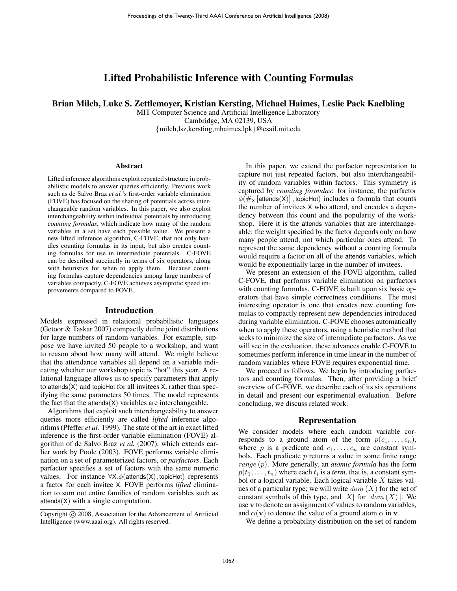# Lifted Probabilistic Inference with Counting Formulas

Brian Milch, Luke S. Zettlemoyer, Kristian Kersting, Michael Haimes, Leslie Pack Kaelbling

MIT Computer Science and Artificial Intelligence Laboratory Cambridge, MA 02139, USA {milch,lsz,kersting,mhaimes,lpk}@csail.mit.edu

### Abstract

Lifted inference algorithms exploit repeated structure in probabilistic models to answer queries efficiently. Previous work such as de Salvo Braz *et al.*'s first-order variable elimination (FOVE) has focused on the sharing of potentials across interchangeable random variables. In this paper, we also exploit interchangeability within individual potentials by introducing *counting formulas*, which indicate how many of the random variables in a set have each possible value. We present a new lifted inference algorithm, C-FOVE, that not only handles counting formulas in its input, but also creates counting formulas for use in intermediate potentials. C-FOVE can be described succinctly in terms of six operators, along with heuristics for when to apply them. Because counting formulas capture dependencies among large numbers of variables compactly, C-FOVE achieves asymptotic speed improvements compared to FOVE.

#### Introduction

Models expressed in relational probabilistic languages (Getoor & Taskar 2007) compactly define joint distributions for large numbers of random variables. For example, suppose we have invited 50 people to a workshop, and want to reason about how many will attend. We might believe that the attendance variables all depend on a variable indicating whether our workshop topic is "hot" this year. A relational language allows us to specify parameters that apply to attends $(X)$  and topicHot for all invitees X, rather than specifying the same parameters 50 times. The model represents the fact that the attends $(X)$  variables are interchangeable.

Algorithms that exploit such interchangeability to answer queries more efficiently are called *lifted* inference algorithms (Pfeffer *et al.* 1999). The state of the art in exact lifted inference is the first-order variable elimination (FOVE) algorithm of de Salvo Braz *et al.* (2007), which extends earlier work by Poole (2003). FOVE performs variable elimination on a set of parameterized factors, or *parfactors*. Each parfactor specifies a set of factors with the same numeric values. For instance  $\forall X.\phi$ (attends(X), topicHot) represents a factor for each invitee X. FOVE performs *lifted* elimination to sum out entire families of random variables such as  $at tends(X)$  with a single computation.

In this paper, we extend the parfactor representation to capture not just repeated factors, but also interchangeability of random variables within factors. This symmetry is captured by *counting formulas*: for instance, the parfactor  $\phi(\#_{X} \left[ \text{attends}(X) \right],$  topicHot) includes a formula that counts the number of invitees X who attend, and encodes a dependency between this count and the popularity of the workshop. Here it is the attends variables that are interchangeable: the weight specified by the factor depends only on how many people attend, not which particular ones attend. To represent the same dependency without a counting formula would require a factor on all of the attends variables, which would be exponentially large in the number of invitees.

We present an extension of the FOVE algorithm, called C-FOVE, that performs variable elimination on parfactors with counting formulas. C-FOVE is built upon six basic operators that have simple correctness conditions. The most interesting operator is one that creates new counting formulas to compactly represent new dependencies introduced during variable elimination. C-FOVE chooses automatically when to apply these operators, using a heuristic method that seeks to minimize the size of intermediate parfactors. As we will see in the evaluation, these advances enable C-FOVE to sometimes perform inference in time linear in the number of random variables where FOVE requires exponential time.

We proceed as follows. We begin by introducing parfactors and counting formulas. Then, after providing a brief overview of C-FOVE, we describe each of its six operations in detail and present our experimental evaluation. Before concluding, we discuss related work.

### Representation

We consider models where each random variable corresponds to a ground atom of the form  $p(c_1, \ldots, c_n)$ , where p is a predicate and  $c_1, \ldots, c_n$  are constant symbols. Each predicate  $p$  returns a value in some finite range range (p). More generally, an *atomic formula* has the form  $p(t_1, \ldots, t_n)$  where each  $t_i$  is a *term*, that is, a constant symbol or a logical variable. Each logical variable  $X$  takes values of a particular type; we will write  $dom(X)$  for the set of constant symbols of this type, and |X| for  $|dom(X)|$ . We use v to denote an assignment of values to random variables, and  $\alpha(\mathbf{v})$  to denote the value of a ground atom  $\alpha$  in v.

We define a probability distribution on the set of random

Copyright (c) 2008, Association for the Advancement of Artificial Intelligence (www.aaai.org). All rights reserved.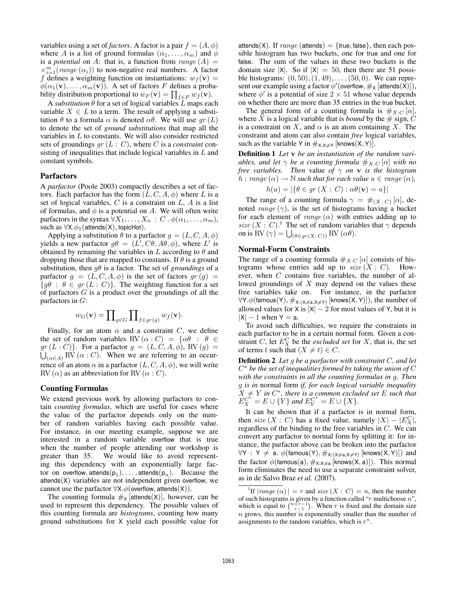variables using a set of *factors*. A factor is a pair  $f = (A, \phi)$ where A is a list of ground formulas  $(\alpha_1, \ldots, \alpha_m)$  and  $\phi$ is a *potential* on A: that is, a function from  $range(A)$  $\times_{i=1}^{m}(\text{range}(\alpha_i))$  to non-negative real numbers. A factor f defines a weighting function on instantiations:  $w_f(\mathbf{v}) =$  $\phi(\alpha_1(\mathbf{v}), \dots, \alpha_m(\mathbf{v}))$ . A set of factors F defines a probability distribution proportional to  $w_F(\mathbf{v}) = \prod_{f \in F} w_f(\mathbf{v})$ .

A *substitution*  $\theta$  for a set of logical variables  $L$  maps each variable  $X \in L$  to a term. The result of applying a substitution  $\theta$  to a formula  $\alpha$  is denoted  $\alpha\theta$ . We will use  $gr(L)$ to denote the set of *ground substitutions* that map all the variables in L to constants. We will also consider restricted sets of groundings gr (L : C), where C is a *constraint* consisting of inequalities that include logical variables in  $L$  and constant symbols.

### Parfactors

A *parfactor* (Poole 2003) compactly describes a set of factors. Each parfactor has the form  $(L, C, A, \phi)$  where L is a set of logical variables,  $C$  is a constraint on  $L$ ,  $A$  is a list of formulas, and  $\phi$  is a potential on A. We will often write parfactors in the syntax  $\forall X_1, \ldots, X_n : C \cdot \phi(\alpha_1, \ldots, \alpha_m),$ such as  $\forall X.\phi_1(\text{attends}(X), \text{topicHot}).$ 

Applying a substitution  $\theta$  to a parfactor  $q = (L, C, A, \phi)$ yields a new parfactor  $g\theta = (L^7, C\theta, A\theta, \phi)$ , where L' is obtained by renaming the variables in L according to  $\theta$  and dropping those that are mapped to constants. If  $\theta$  is a ground substitution, then  $q\theta$  is a factor. The set of *groundings* of a parfactor  $g = (L, C, A, \phi)$  is the set of factors  $gr(g)$  ${g\theta : \theta \in gr(L : C)}$ . The weighting function for a set of parfactors  $G$  is a product over the groundings of all the parfactors in  $G$ :

$$
w_G(\mathbf{v}) = \prod\nolimits_{g \in G} \prod\nolimits_{f \in gr(g)} w_f(\mathbf{v}).
$$

Finally, for an atom  $\alpha$  and a constraint C, we define the set of random variables RV  $(\alpha : C) = {\alpha \theta : \theta \in \mathbb{R}^2}$  $gr(L:C)$ . For a parfactor  $g = (L, C, A, \phi)$ , RV  $(g)$  =  $\bigcup_{(\alpha \in A)}$  RV  $(\alpha : C)$ . When we are referring to an occurrence of an atom  $\alpha$  in a parfactor  $(L, C, A, \phi)$ , we will write RV  $(\alpha)$  as an abbreviation for RV  $(\alpha : C)$ .

### Counting Formulas

We extend previous work by allowing parfactors to contain *counting formulas*, which are useful for cases where the value of the parfactor depends only on the number of random variables having each possible value. For instance, in our meeting example, suppose we are interested in a random variable overflow that is true when the number of people attending our workshop is greater than 35. We would like to avoid representing this dependency with an exponentially large factor on overflow, attends $(p_1), \ldots$ , attends $(p_n)$ . Because the  $at tends(X)$  variables are not independent given overflow, we cannot use the parfactor  $\forall X.\phi$ (overflow, attends(X)).

The counting formula  $\#_X$  [attends(X)], however, can be used to represent this dependency. The possible values of this counting formula are *histograms*, counting how many ground substitutions for X yield each possible value for attends(X). If  $range$  (attends) = {true, false}, then each possible histogram has two buckets, one for true and one for false. The sum of the values in these two buckets is the domain size  $|X|$ . So if  $|X| = 50$ , then there are 51 possible histograms:  $(0, 50), (1, 49), \ldots, (50, 0)$ . We can represent our example using a factor  $\phi'$  (overflow,  $\#_{\mathsf{X}}\left[{\mathsf{attends}}(\bar{\mathsf{X}})\right]),$ where  $\phi'$  is a potential of size  $2 \times 51$  whose value depends on whether there are more than 35 entries in the true bucket.

The general form of a counting formula is  $\#_{X:C} [\alpha],$ where X is a logical variable that is *bound* by the  $\#$  sign, C is a constraint on X, and  $\alpha$  is an atom containing X. The constraint and atom can also contain *free* logical variables, such as the variable Y in  $\#_{X:X\neq Y}$  [knows(X, Y)].

Definition 1 *Let* v *be an instantiation of the random variables, and let*  $\gamma$  *be a counting formula*  $\#_{X:C}[\alpha]$  *with no free variables. Then* value *of* γ *on* v *is the histogram*  $h: range(\alpha) \rightarrow \mathbb{N}$  *such that for each value*  $u \in range(\alpha)$ ,

$$
h(u) = |\{\theta \in gr(X : C) : \alpha \theta(\mathbf{v}) = u\}|
$$

The range of a counting formula  $\gamma = \#_{(X \, : \, C)} [\alpha]$ , denoted range  $(\gamma)$ , is the set of histograms having a bucket for each element of  $range(\alpha)$  with entries adding up to size  $(X : C)$ .<sup>1</sup> The set of random variables that  $\gamma$  depends on is RV ( $\gamma$ ) =  $\bigcup_{(\theta \in gr(X:C))}$  RV ( $\alpha \theta$ ).

### Normal-Form Constraints

The range of a counting formula  $\#_{X:C}[\alpha]$  consists of histograms whose entries add up to  $size(X : C)$ . However, when C contains free variables, the number of allowed groundings of  $X$  may depend on the values these free variables take on. For instance, in the parfactor  $\forall$ Y. $\phi$ (famous(Y),  $\#_{\mathsf{X}: (\mathsf{X}\neq \mathsf{a},\mathsf{X}\neq \mathsf{Y})}$  [knows(X, Y)]), the number of allowed values for X is  $|X| - 2$  for most values of Y, but it is  $|X| - 1$  when  $Y = a$ .

To avoid such difficulties, we require the constraints in each parfactor to be in a certain normal form. Given a constraint C, let  $E_X^C$  be the *excluded set* for X, that is, the set of terms t such that  $(X \neq t) \in C$ .

Definition 2 *Let* g *be a parfactor with constraint* C*, and let* C <sup>∗</sup> *be the set of inequalities formed by taking the union of* C *with the constraints in all the counting formulas in* g*. Then* g *is in* normal form *if, for each logical variable inequality*  $\tilde{X} \neq Y$  in  $C^*$ , there is a common excluded set E such that  $E_X^{C^*} = E \cup \{Y\}$  and  $E_Y^{C^*} = E \cup \{X\}.$ 

It can be shown that if a parfactor is in normal form, then size  $(X : C)$  has a fixed value, namely  $|X| - |E_X^C|$ , regardless of the binding to the free variables in C. We can convert any parfactor to normal form by splitting it: for instance, the parfactor above can be broken into the parfactor  $\forall Y$   $: Y \neq a$ .  $\phi(\textsf{famous(Y)}, \#_{X:(X \neq a, X \neq Y)} \left[ \textsf{knows(X,Y)} \right])$  and the factor  $\phi$ (famous(a),  $\#_{X:X\neq a}$  [knows(X, a)]). This normal form eliminates the need to use a separate constraint solver, as in de Salvo Braz *et al.* (2007).

<sup>&</sup>lt;sup>1</sup>If  $|range(\alpha)| = r$  and size  $(X : C) = n$ , then the number of such histograms is given by a function called " $r$  multichoose  $n$ ", which is equal to  $\binom{n+r-1}{r-1}$ . When r is fixed and the domain size n grows, this number is exponentially smaller than the number of assignments to the random variables, which is  $r^n$ .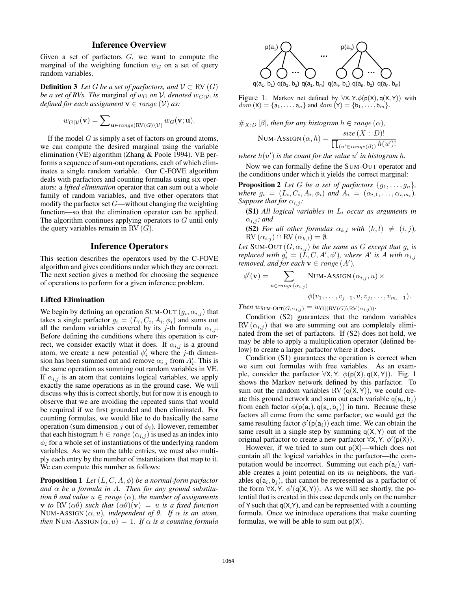## Inference Overview

Given a set of parfactors  $G$ , we want to compute the marginal of the weighting function  $w_G$  on a set of query random variables.

**Definition 3** *Let* G *be a set of parfactors, and*  $V \subset \text{RV}(G)$ *be a set of RVs. The marginal of*  $w_G$  *on*  $V$ *, denoted*  $w_G|_V$ *, is defined for each assignment*  $\mathbf{v} \in range(\mathcal{V})$  *as:* 

$$
w_{G|\mathcal{V}}(\mathbf{v}) = \sum\nolimits_{\mathbf{u} \in range(\textrm{RV}(G)\setminus \mathcal{V})} w_G(\mathbf{v}; \mathbf{u}).
$$

If the model  $G$  is simply a set of factors on ground atoms, we can compute the desired marginal using the variable elimination (VE) algorithm (Zhang & Poole 1994). VE performs a sequence of sum-out operations, each of which eliminates a single random variable. Our C-FOVE algorithm deals with parfactors and counting formulas using six operators: a *lifted elimination* operator that can sum out a whole family of random variables, and five other operators that modify the parfactor set  $G$ —without changing the weighting function—so that the elimination operator can be applied. The algorithm continues applying operators to G until only the query variables remain in RV  $(G)$ .

## Inference Operators

This section describes the operators used by the C-FOVE algorithm and gives conditions under which they are correct. The next section gives a method for choosing the sequence of operations to perform for a given inference problem.

### Lifted Elimination

We begin by defining an operation SUM-OUT  $(g_i, \alpha_{i,j})$  that takes a single parfactor  $g_i = (L_i, C_i, A_i, \phi_i)$  and sums out all the random variables covered by its j-th formula  $\alpha_{i,j}$ . Before defining the conditions where this operation is correct, we consider exactly what it does. If  $\alpha_{i,j}$  is a ground atom, we create a new potential  $\phi'_i$  where the j-th dimension has been summed out and remove  $\alpha_{i,j}$  from  $A'_i$ . This is the same operation as summing out random variables in VE. If  $\alpha_{i,j}$  is an atom that contains logical variables, we apply exactly the same operations as in the ground case. We will discuss why this is correct shortly, but for now it is enough to observe that we are avoiding the repeated sums that would be required if we first grounded and then eliminated. For counting formulas, we would like to do basically the same operation (sum dimension j out of  $\phi_i$ ). However, remember that each histogram  $h \in range(\alpha_{i,j})$  is used as an index into  $\phi_i$  for a whole set of instantiations of the underlying random variables. As we sum the table entries, we must also multiply each entry by the number of instantiations that map to it. We can compute this number as follows:

Proposition 1 *Let* (L, C, A, φ) *be a normal-form parfactor and* α *be a formula in* A*. Then for any ground substitution*  $\theta$  *and value*  $u \in range(\alpha)$ *, the number of assignments* **v** *to* RV  $(\alpha \theta)$  *such that*  $(\alpha \theta)(\mathbf{v}) = u$  *is a fixed function* NUM-ASSIGN  $(\alpha, u)$ , independent of  $\theta$ . If  $\alpha$  is an atom, *then* NUM-ASSIGN  $(\alpha, u) = 1$ *. If*  $\alpha$  *is a counting formula* 



Figure 1: Markov net defined by  $\forall$ X, Y. $\phi(p(X), q(X, Y))$  with  $dom(X) = \{a_1, \ldots, a_n\}$  and  $dom(Y) = \{b_1, \ldots, b_m\}.$ 

$$
\#_{X:D} [\beta], \text{ then for any histogram } h \in \text{range } (\alpha),
$$
  
\nNUM-ASSIGN  $(\alpha, h) = \frac{\text{size } (X : D)!}{\prod_{(u' \in \text{range}(\beta))} h(u')}$ 

where  $h(u')$  is the count for the value  $u'$  in histogram h.

Now we can formally define the SUM-OUT operator and the conditions under which it yields the correct marginal:

**Proposition 2** *Let* G *be a set of parfactors*  $\{g_1, \ldots, g_n\}$ , *where*  $g_i = (L_i, C_i, A_i, \phi_i)$  *and*  $A_i = (\alpha_{i,1}, \dots, \alpha_{i,m_i})$ *. Suppose that for*  $\alpha_{i,j}$ *:* 

(S1) *All logical variables in* L<sup>i</sup> *occur as arguments in*  $\alpha_{i,j}$ *; and* 

**(S2)** *For all other formulas*  $\alpha_{k,l}$  *with*  $(k, l) \neq (i, j)$ *,*  $\text{RV}\left(\alpha_{i,j}\right) \cap \text{RV}\left(\alpha_{k,l}\right) = \emptyset.$ 

Let SUM-OUT  $(G, \alpha_{i,j})$  be the same as G except that  $g_i$  is *replaced with*  $g'_i = (\tilde{L}, C, A', \phi')$ , where A' is A with  $\alpha_{i,j}$ *removed, and for each*  $v \in range(A')$ ,

$$
\phi'(\mathbf{v}) = \sum_{u \in range(\alpha_{i,j})} \text{NUM-ASSIGN}(\alpha_{i,j}, u) \times \phi(v_1, \dots, v_{j-1}, u, v_j, \dots, v_{m_i-1}).
$$

*Then*  $w_{\text{SUM-OUT}(G, \alpha_{i,j})} = w_{G|(\text{RV}(G) \backslash \text{RV}(\alpha_{i,j}))}$ .

Condition (S2) guarantees that the random variables  $RV(\alpha_{i,j})$  that we are summing out are completely eliminated from the set of parfactors. If (S2) does not hold, we may be able to apply a multiplication operator (defined below) to create a larger parfactor where it does.

Condition (S1) guarantees the operation is correct when we sum out formulas with free variables. As an example, consider the parfactor  $\forall X, Y$ .  $\phi(p(X), q(X, Y))$ . Fig. 1 shows the Markov network defined by this parfactor. To sum out the random variables RV  $(q(X, Y))$ , we could create this ground network and sum out each variable  $q(a_i, b_j)$ from each factor  $\phi(p(a_i), q(a_i, b_j))$  in turn. Because these factors all come from the same parfactor, we would get the same resulting factor  $\phi'(\mathsf{p}(\mathsf{a}_i))$  each time. We can obtain the same result in a single step by summing  $q(X, Y)$  out of the original parfactor to create a new parfactor  $\forall X, Y, \phi'(p(X))$ .

However, if we tried to sum out  $p(X)$ —which does not contain all the logical variables in the parfactor—the computation would be incorrect. Summing out each  $p(a_i)$  variable creates a joint potential on its  $m$  neighbors, the variables  $q(a_i, b_j)$ , that cannot be represented as a parfactor of the form  $\forall$ X, Y.  $\phi'$ (q(X, Y)). As we will see shortly, the potential that is created in this case depends only on the number of Y such that  $q(X, Y)$ , and can be represented with a counting formula. Once we introduce operations that make counting formulas, we will be able to sum out  $p(X)$ .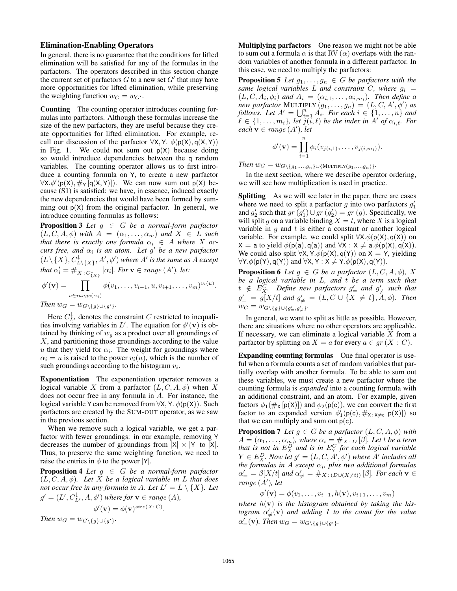### Elimination-Enabling Operators

In general, there is no guarantee that the conditions for lifted elimination will be satisfied for any of the formulas in the parfactors. The operators described in this section change the current set of parfactors  $G$  to a new set  $G'$  that may have more opportunities for lifted elimination, while preserving the weighting function  $w_G = w_{G'}$ .

Counting The counting operator introduces counting formulas into parfactors. Although these formulas increase the size of the new parfactors, they are useful because they create opportunities for lifted elimination. For example, recall our discussion of the parfactor  $\forall X, Y. \phi(p(X), q(X, Y))$ in Fig. 1. We could not sum out  $p(X)$  because doing so would introduce dependencies between the q random variables. The counting operator allows us to first introduce a counting formula on Y, to create a new parfactor  $\forall X. \phi'(\mathsf{p}(X), \#_{Y}[\mathsf{q}(X, Y)]).$  We can now sum out  $\mathsf{p}(X)$  because (S1) is satisfied: we have, in essence, induced exactly the new dependencies that would have been formed by summing out  $p(X)$  from the original parfactor. In general, we introduce counting formulas as follows:

Proposition 3 *Let* g ∈ G *be a normal-form parfactor*  $(L, C, A, \phi)$  *with*  $A = (\alpha_1, \dots, \alpha_m)$  *and*  $X \in L$  *such that there is exactly one formula*  $\alpha_i \in A$  *where* X *occurs free, and*  $\alpha_i$  *is an atom. Let* g' be a new parfactor  $(L\backslash \{X\}, C^{\downarrow}_{L\backslash \{X\}}, A', \phi')$  where  $A'$  is the same as  $A$  except *that*  $\alpha'_i = \#_{X : C^1_{\{X\}}} [\alpha_i]$ *. For*  $\mathbf{v} \in range(A')$ *, let:* 

$$
\phi'(\mathbf{v}) = \prod_{u \in range(\alpha_i)} \phi(v_1, \dots, v_{i-1}, u, v_{i+1}, \dots, v_m)^{v_i(u)}.
$$

*Then*  $w_G = w_{G \setminus \{g\} \cup \{g'\}}$ .

Here  $C_{L'}^{\downarrow}$  denotes the constraint C restricted to inequalities involving variables in L'. The equation for  $\phi'(\mathbf{v})$  is obtained by thinking of  $w_g$  as a product over all groundings of X, and partitioning those groundings according to the value u that they yield for  $\alpha_i$ . The weight for groundings where  $\alpha_i = u$  is raised to the power  $v_i(u)$ , which is the number of such groundings according to the histogram  $v_i$ .

Exponentiation The exponentiation operator removes a logical variable X from a parfactor  $(L, C, A, \phi)$  when X does not occur free in any formula in A. For instance, the logical variable Y can be removed from  $\forall X, Y, \phi(p(X))$ . Such parfactors are created by the SUM-OUT operator, as we saw in the previous section.

When we remove such a logical variable, we get a parfactor with fewer groundings: in our example, removing Y decreases the number of groundings from  $|X| \times |Y|$  to  $|X|$ . Thus, to preserve the same weighting function, we need to raise the entries in  $\phi$  to the power |Y|.

**Proposition 4** *Let*  $g \in G$  *be a normal-form parfactor* (L, C, A, φ)*. Let* X *be a logical variable in* L *that does not occur free in any formula in A. Let*  $L' = L \setminus \{X\}$ *. Let*  $g' = (L', C_{L'}^{\downarrow}, A, \phi')$  where for  $\mathbf{v} \in range(A)$ ,

$$
\phi'(\mathbf{v}) = \phi(\mathbf{v})^{size(X:C)}.
$$

*Then*  $w_G = w_{G \setminus \{g\} \cup \{g'\}}$ *.* 

Multiplying parfactors One reason we might not be able to sum out a formula  $\alpha$  is that RV  $(\alpha)$  overlaps with the random variables of another formula in a different parfactor. In this case, we need to multiply the parfactors:

**Proposition 5** Let  $g_1, \ldots, g_n \in G$  be parfactors with the *same logical variables* L *and constraint* C, where  $g_i =$  $(L, C, A_i, \phi_i)$  and  $A_i = (\alpha_{i,1}, \ldots, \alpha_{i,m_i})$ . Then define a *new parfactor* MULTIPLY  $(g_1, \ldots, g_n) = (L, C, A', \phi')$  *as follows. Let*  $A' = \bigcup_{i=1}^{n} A_i$ *. For each*  $i \in \{1, ..., n\}$  *and*  $\ell \in \{1, \ldots, m_i\}$ , let  $\overline{j(i, \ell)}$  be the index in A<sup>t</sup> of  $\alpha_{i, \ell}$ . For  $\mathit{each} \ \mathbf{v} \in \mathit{range}(A'), \mathit{let}$ 

$$
\phi'(\mathbf{v}) = \prod_{i=1}^n \phi_i(v_{j(i,1)}, \dots, v_{j(i,m_i)}).
$$

*Then*  $w_G = w_{G \setminus \{g_1, ..., g_n\} \cup \{ \text{MULTIPLY}(g_1, ..., g_n) \}}.$ 

In the next section, where we describe operator ordering, we will see how multiplication is used in practice.

Splitting As we will see later in the paper, there are cases where we need to split a parfactor  $g$  into two parfactors  $g'_1$ and  $g'_2$  such that  $gr(g'_1) \cup gr(g'_2) = gr(g)$ . Specifically, we will split g on a variable binding  $X = t$ , where X is a logical variable in  $g$  and  $t$  is either a constant or another logical variable. For example, we could split  $\forall X. \phi(p(X), q(X))$  on  $X = a$  to yield  $\phi(p(a), q(a))$  and  $\forall X : X \neq a.\phi(p(X), q(X)).$ We could also split  $\forall X, Y. \phi(p(X), q(Y))$  on  $X = Y$ , yielding  $\forall Y. \phi(p(Y), q(Y))$  and  $\forall X, Y : X \neq Y. \phi(p(X), q(Y)).$ 

**Proposition 6** *Let*  $g \in G$  *be a parfactor*  $(L, C, A, \phi)$ *, X be a logical variable in* L*, and* t *be a term such that*  $t \notin E_X^{\overline{C}}$ *. Define new parfactors*  $g'_{\equiv}$  and  $g'_{\neq}$  such that  $g'_{\equiv} = g[X/t]$  and  $g'_{\neq} = (L, C \cup \{X \neq t\}, A, \phi)$ *.* Then  $w_G = w_{G \setminus \{g\} \cup \{g'_{\equiv}, g'_{\neq}\}}.$ 

In general, we want to split as little as possible. However, there are situations where no other operators are applicable. If necessary, we can eliminate a logical variable  $X$  from a parfactor by splitting on  $X = a$  for every  $a \in gr(X : C)$ .

Expanding counting formulas One final operator is useful when a formula counts a set of random variables that partially overlap with another formula. To be able to sum out these variables, we must create a new parfactor where the counting formula is *expanded* into a counting formula with an additional constraint, and an atom. For example, given factors  $\phi_1(\#_{\mathsf{X}}[p(\mathsf{X})])$  and  $\phi_2(p(\mathsf{c}))$ , we can convert the first factor to an expanded version  $\phi'_1(p(c), \#_{X:X\neq c} [p(X)])$  so that we can multiply and sum out  $p(c)$ .

**Proposition 7** Let  $g \in G$  be a parfactor  $(L, C, A, \phi)$  with  $A = (\alpha_1, \ldots, \alpha_m)$ , where  $\alpha_i = \#_{X \, : \, D} \, [\beta].$  Let t be a term *that is not in*  $E_X^D$  *and is in*  $E_Y^C$  *for each logical variable*  $Y \in E_X^D$ *. Now let*  $g' = (L, C, A', \phi')$  where A' includes all *the formulas in* A *except* α<sup>i</sup> *, plus two additional formulas*  $\alpha'_{\equiv} = \beta[X/t]$  and  $\alpha'_{\neq} = \#_{X}$  : (D∪(X $\neq$ t)) [ $\beta$ ]*. For each*  $\mathbf{v} \in$ range  $(A')$ , let

$$
\phi'(\mathbf{v}) = \phi(v_1, \dots, v_{i-1}, h(\mathbf{v}), v_{i+1}, \dots, v_m)
$$

where  $h(\mathbf{v})$  *is the histogram obtained by taking the his-* $\alpha'$ <sub> $\neq$ </sub> $(v)$  *and adding 1 to the count for the value*  $\alpha'_{=}(\mathbf{v})$ *. Then*  $w_G = w_{G \setminus \{g\} \cup \{g'\}}$ *.*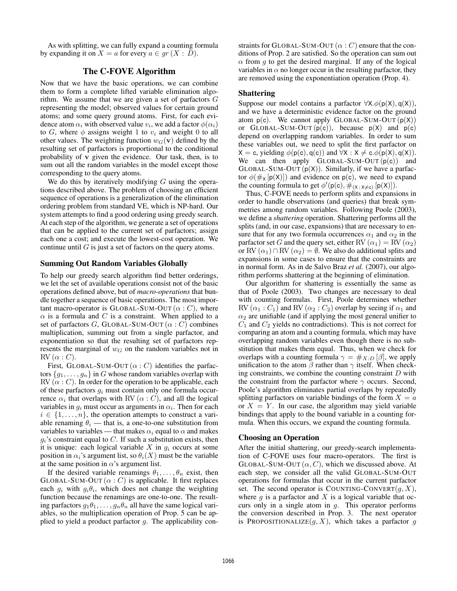As with splitting, we can fully expand a counting formula by expanding it on  $X = a$  for every  $a \in gr(X : D)$ .

## The C-FOVE Algorithm

Now that we have the basic operations, we can combine them to form a complete lifted variable elimination algorithm. We assume that we are given a set of parfactors G representing the model; observed values for certain ground atoms; and some query ground atoms. First, for each evidence atom  $\alpha_i$  with observed value  $v_i$ , we add a factor  $\phi(\alpha_i)$ to G, where  $\phi$  assigns weight 1 to  $v_i$  and weight 0 to all other values. The weighting function  $w_G(\mathbf{v})$  defined by the resulting set of parfactors is proportional to the conditional probability of v given the evidence. Our task, then, is to sum out all the random variables in the model except those corresponding to the query atoms.

We do this by iteratively modifying  $G$  using the operations described above. The problem of choosing an efficient sequence of operations is a generalization of the elimination ordering problem from standard VE, which is NP-hard. Our system attempts to find a good ordering using greedy search. At each step of the algorithm, we generate a set of operations that can be applied to the current set of parfactors; assign each one a cost; and execute the lowest-cost operation. We continue until  $G$  is just a set of factors on the query atoms.

### Summing Out Random Variables Globally

To help our greedy search algorithm find better orderings, we let the set of available operations consist not of the basic operations defined above, but of *macro-operations* that bundle together a sequence of basic operations. The most important macro-operator is GLOBAL-SUM-OUT  $(\alpha : C)$ , where  $\alpha$  is a formula and C is a constraint. When applied to a set of parfactors G, GLOBAL-SUM-OUT  $(\alpha : C)$  combines multiplication, summing out from a single parfactor, and exponentiation so that the resulting set of parfactors represents the marginal of  $w_G$  on the random variables not in  $RV(\alpha : C)$ .

First, GLOBAL-SUM-OUT  $(\alpha : C)$  identifies the parfactors  $\{g_1, \ldots, g_n\}$  in G whose random variables overlap with  $RV(\alpha : C)$ . In order for the operation to be applicable, each of these parfactors  $g_i$  must contain only one formula occurrence  $\alpha_i$  that overlaps with RV ( $\alpha$  : C), and all the logical variables in  $g_i$  must occur as arguments in  $\alpha_i$ . Then for each  $i \in \{1, \ldots, n\}$ , the operation attempts to construct a variable renaming  $\theta_i$  — that is, a one-to-one substitution from variables to variables — that makes  $\alpha_i$  equal to  $\alpha$  and makes  $g_i$ 's constraint equal to  $C$ . If such a substitution exists, then it is unique: each logical variable  $X$  in  $g_i$  occurs at some position in  $\alpha_i$ 's argument list, so  $\theta_i(X)$  must be the variable at the same position in  $\alpha$ 's argument list.

If the desired variable renamings  $\theta_1, \ldots, \theta_n$  exist, then GLOBAL-SUM-OUT  $(\alpha : C)$  is applicable. It first replaces each  $g_i$  with  $g_i \theta_i$ , which does not change the weighting function because the renamings are one-to-one. The resulting parfactors  $g_1 \theta_1, \ldots, g_n \theta_n$  all have the same logical variables, so the multiplication operation of Prop. 5 can be applied to yield a product parfactor  $g$ . The applicability constraints for GLOBAL-SUM-OUT  $(\alpha : C)$  ensure that the conditions of Prop. 2 are satisfied. So the operation can sum out  $\alpha$  from g to get the desired marginal. If any of the logical variables in  $\alpha$  no longer occur in the resulting parfactor, they are removed using the exponentiation operation (Prop. 4).

## Shattering

Suppose our model contains a parfactor  $\forall X. \phi(p(X), q(X)),$ and we have a deterministic evidence factor on the ground atom  $p(c)$ . We cannot apply GLOBAL-SUM-OUT  $(p(X))$ or GLOBAL-SUM-OUT  $(p(c))$ , because  $p(X)$  and  $p(c)$ depend on overlapping random variables. In order to sum these variables out, we need to split the first parfactor on  $X = c$ , yielding  $\phi(p(c), q(c))$  and  $\forall X : X \neq c. \phi(p(X), q(X)).$ We can then apply  $GLOBAL-SUM-OUT(p(c))$  and GLOBAL-SUM-OUT  $(p(X))$ . Similarly, if we have a parfactor  $\phi(\#_{X} [p(X)])$  and evidence on p(c), we need to expand the counting formula to get  $\phi'(\mathsf{p}(\mathsf{c}), \#_{(\mathsf{X} : \mathsf{X} \neq \mathsf{c})} [\mathsf{p}(\mathsf{X})]).$ 

Thus, C-FOVE needs to perform splits and expansions in order to handle observations (and queries) that break symmetries among random variables. Following Poole (2003), we define a *shattering* operation. Shattering performs all the splits (and, in our case, expansions) that are necessary to ensure that for any two formula occurrences  $\alpha_1$  and  $\alpha_2$  in the parfactor set G and the query set, either RV  $(\alpha_1) = RV(\alpha_2)$ or RV  $(\alpha_1) \cap RV (\alpha_2) = \emptyset$ . We also do additional splits and expansions in some cases to ensure that the constraints are in normal form. As in de Salvo Braz *et al.* (2007), our algorithm performs shattering at the beginning of elimination.

Our algorithm for shattering is essentially the same as that of Poole (2003). Two changes are necessary to deal with counting formulas. First, Poole determines whether RV  $(\alpha_1 : C_1)$  and RV  $(\alpha_2 : C_2)$  overlap by seeing if  $\alpha_1$  and  $\alpha_2$  are unifiable (and if applying the most general unifier to  $C_1$  and  $C_2$  yields no contradictions). This is not correct for comparing an atom and a counting formula, which may have overlapping random variables even though there is no substitution that makes them equal. Thus, when we check for overlaps with a counting formula  $\gamma = \#_{X:D} [\beta]$ , we apply unification to the atom  $\beta$  rather than  $\gamma$  itself. When checking constraints, we combine the counting constraint  $D$  with the constraint from the parfactor where  $\gamma$  occurs. Second, Poole's algorithm eliminates partial overlaps by repeatedly splitting parfactors on variable bindings of the form  $X = a$ or  $X = Y$ . In our case, the algorithm may yield variable bindings that apply to the bound variable in a counting formula. When this occurs, we expand the counting formula.

## Choosing an Operation

After the initial shattering, our greedy-search implementation of C-FOVE uses four macro-operators. The first is GLOBAL-SUM-OUT  $(\alpha, C)$ , which we discussed above. At each step, we consider all the valid GLOBAL-SUM-OUT operations for formulas that occur in the current parfactor set. The second operator is COUNTING-CONVERT $(g, X)$ , where  $g$  is a parfactor and  $X$  is a logical variable that occurs only in a single atom in g. This operator performs the conversion described in Prop. 3. The next operator is PROPOSITIONALIZE $(g, X)$ , which takes a parfactor g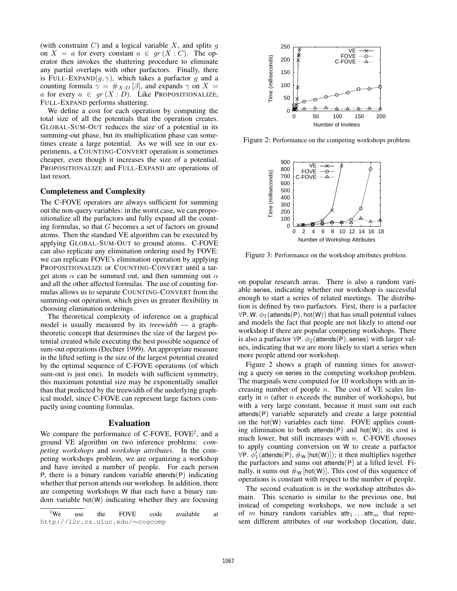(with constraint  $C$ ) and a logical variable  $X$ , and splits  $q$ on  $X = a$  for every constant  $a \in gr(X : C)$ . The operator then invokes the shattering procedure to eliminate any partial overlaps with other parfactors. Finally, there is FULL-EXPAND $(g, \gamma)$ , which takes a parfactor g and a counting formula  $\gamma = \#_{X:D} [\beta]$ , and expands  $\gamma$  on  $X =$ a for every  $a \in gr(X : D)$ . Like PROPOSITIONALIZE, FULL-EXPAND performs shattering.

We define a cost for each operation by computing the total size of all the potentials that the operation creates. GLOBAL-SUM-OUT reduces the size of a potential in its summing-out phase, but its multiplication phase can sometimes create a large potential. As we will see in our experiments, a COUNTING-CONVERT operation is sometimes cheaper, even though it increases the size of a potential. PROPOSITIONALIZE and FULL-EXPAND are operations of last resort.

### Completeness and Complexity

The C-FOVE operators are always sufficient for summing out the non-query variables: in the worst case, we can propositionalize all the parfactors and fully expand all the counting formulas, so that  $G$  becomes a set of factors on ground atoms. Then the standard VE algorithm can be executed by applying GLOBAL-SUM-OUT to ground atoms. C-FOVE can also replicate any elimination ordering used by FOVE: we can replicate FOVE's elimination operation by applying PROPOSITIONALIZE or COUNTING-CONVERT until a target atom  $\alpha$  can be summed out, and then summing out  $\alpha$ and all the other affected formulas. The use of counting formulas allows us to separate COUNTING-CONVERT from the summing-out operation, which gives us greater flexibility in choosing elimination orderings.

The theoretical complexity of inference on a graphical model is usually measured by its *treewidth* — a graphtheoretic concept that determines the size of the largest potential created while executing the best possible sequence of sum-out operations (Dechter 1999). An appropriate measure in the lifted setting is the size of the largest potential created by the optimal sequence of C-FOVE operations (of which sum-out is just one). In models with sufficient symmetry, this maximum potential size may be exponentially smaller than that predicted by the treewidth of the underlying graphical model, since C-FOVE can represent large factors compactly using counting formulas.

### Evaluation

We compare the performance of C-FOVE, FOVE<sup>2</sup>, and a ground VE algorithm on two inference problems: *competing workshops* and *workshop attributes*. In the competing workshops problem, we are organizing a workshop and have invited a number of people. For each person P, there is a binary random variable attends(P) indicating whether that person attends our workshop. In addition, there are competing workshops W that each have a binary random variable hot $(W)$  indicating whether they are focusing



Figure 2: Performance on the competing workshops problem.



Figure 3: Performance on the workshop attributes problem.

on popular research areas. There is also a random variable series, indicating whether our workshop is successful enough to start a series of related meetings. The distribution is defined by two parfactors. First, there is a parfactor  $\forall P, W. \phi_1$ (attends(P), hot(W)) that has small potential values and models the fact that people are not likely to attend our workshop if there are popular competing workshops. There is also a parfactor  $\forall P \cdot \phi_2$  (attends  $(P)$ , series) with larger values, indicating that we are more likely to start a series when more people attend our workshop.

Figure 2 shows a graph of running times for answering a query on series in the competing workshop problem. The marginals were computed for 10 workshops with an increasing number of people  $n$ . The cost of  $VE$  scales linearly in  $n$  (after  $n$  exceeds the number of workshops), but with a very large constant, because it must sum out each attends(P) variable separately and create a large potential on the hot(W) variables each time. FOVE applies counting elimination to both attends(P) and hot(W); its cost is much lower, but still increases with  $n$ . C-FOVE chooses to apply counting conversion on W to create a parfactor  $\forall P. \vec{\phi_1}$ (attends(P),  $\#_W$  [hot(W)]); it then multiplies together the parfactors and sums out attends(P) at a lifted level. Finally, it sums out  $\#_W$  [hot(W)]. This cost of this sequence of operations is constant with respect to the number of people.

The second evaluation is in the workshop attributes domain. This scenario is similar to the previous one, but instead of competing workshops, we now include a set of m binary random variables  $\text{attr}_1 \dots \text{attr}_m$  that represent different attributes of our workshop (location, date,

 $2$ We use the FOVE code available at http://l2r.cs.uiuc.edu/∼cogcomp